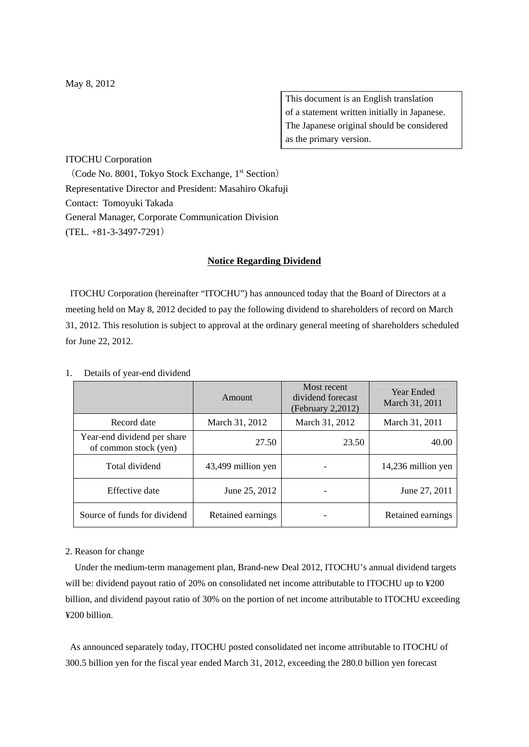This document is an English translation of a statement written initially in Japanese. The Japanese original should be considered as the primary version.

## ITOCHU Corporation

(Code No. 8001, Tokyo Stock Exchange,  $1<sup>st</sup>$  Section) Representative Director and President: Masahiro Okafuji Contact: Tomoyuki Takada General Manager, Corporate Communication Division (TEL. +81-3-3497-7291)

## **Notice Regarding Dividend**

ITOCHU Corporation (hereinafter "ITOCHU") has announced today that the Board of Directors at a meeting held on May 8, 2012 decided to pay the following dividend to shareholders of record on March 31, 2012. This resolution is subject to approval at the ordinary general meeting of shareholders scheduled for June 22, 2012.

|                                                      | Amount             | Most recent<br>dividend forecast<br>(February 2,2012) | <b>Year Ended</b><br>March 31, 2011 |
|------------------------------------------------------|--------------------|-------------------------------------------------------|-------------------------------------|
| Record date                                          | March 31, 2012     | March 31, 2012                                        | March 31, 2011                      |
| Year-end dividend per share<br>of common stock (yen) | 27.50              | 23.50                                                 | 40.00                               |
| Total dividend                                       | 43,499 million yen |                                                       | 14,236 million yen                  |
| Effective date                                       | June 25, 2012      |                                                       | June 27, 2011                       |
| Source of funds for dividend                         | Retained earnings  |                                                       | Retained earnings                   |

1. Details of year-end dividend

## 2. Reason for change

Under the medium-term management plan, Brand-new Deal 2012, ITOCHU's annual dividend targets will be: dividend payout ratio of 20% on consolidated net income attributable to ITOCHU up to ¥200 billion, and dividend payout ratio of 30% on the portion of net income attributable to ITOCHU exceeding ¥200 billion.

As announced separately today, ITOCHU posted consolidated net income attributable to ITOCHU of 300.5 billion yen for the fiscal year ended March 31, 2012, exceeding the 280.0 billion yen forecast